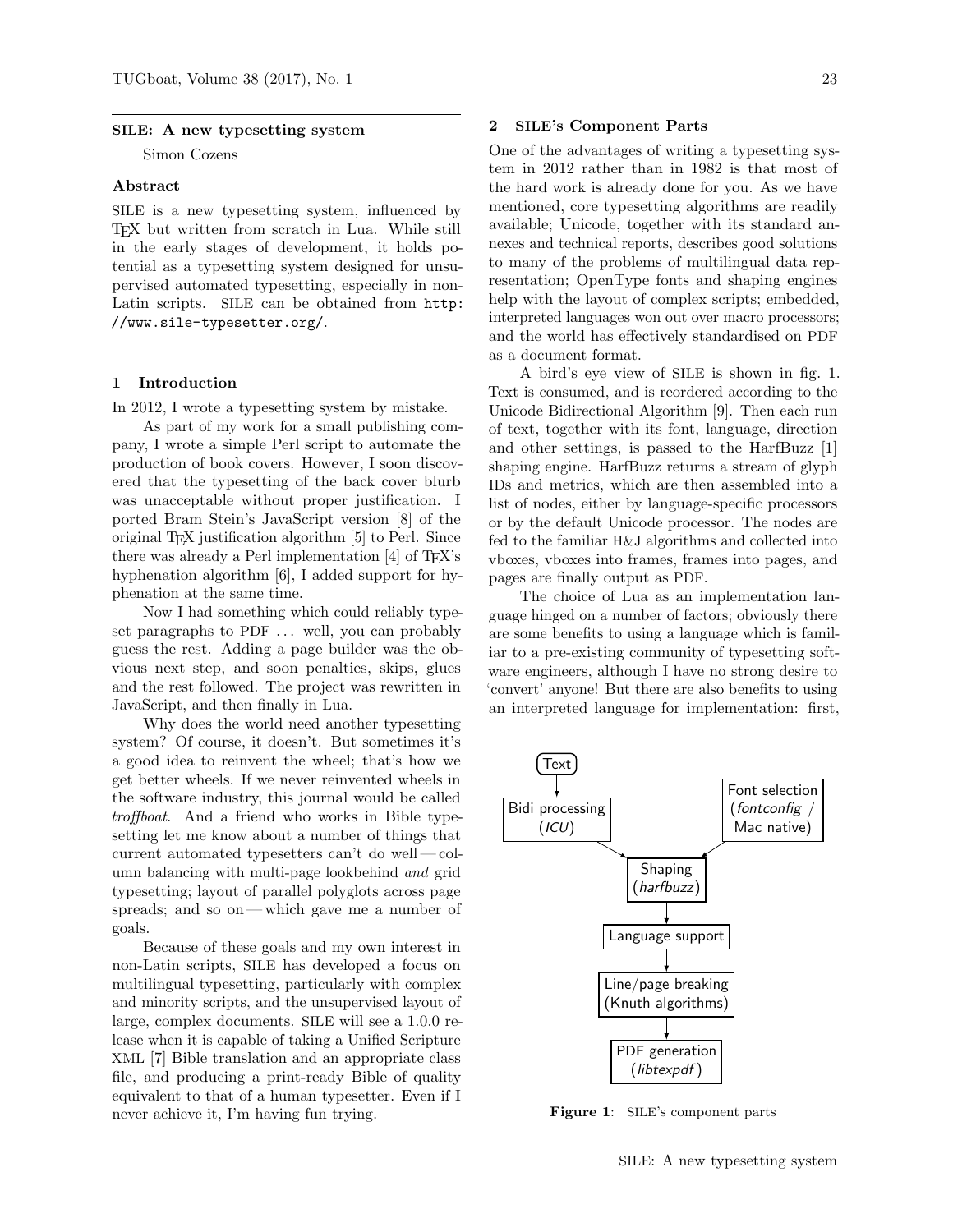#### SILE: A new typesetting system

Simon Cozens

#### Abstract

SILE is a new typesetting system, influenced by TEX but written from scratch in Lua. While still in the early stages of development, it holds potential as a typesetting system designed for unsupervised automated typesetting, especially in non-Latin scripts. SILE can be obtained from http: //www.sile-typesetter.org/.

### 1 Introduction

In 2012, I wrote a typesetting system by mistake.

As part of my work for a small publishing company, I wrote a simple Perl script to automate the production of book covers. However, I soon discovered that the typesetting of the back cover blurb was unacceptable without proper justification. I ported Bram Stein's JavaScript version [8] of the original TEX justification algorithm [5] to Perl. Since there was already a Perl implementation  $[4]$  of T<sub>E</sub>X's hyphenation algorithm [6], I added support for hyphenation at the same time.

Now I had something which could reliably typeset paragraphs to PDF ... well, you can probably guess the rest. Adding a page builder was the obvious next step, and soon penalties, skips, glues and the rest followed. The project was rewritten in JavaScript, and then finally in Lua.

Why does the world need another typesetting system? Of course, it doesn't. But sometimes it's a good idea to reinvent the wheel; that's how we get better wheels. If we never reinvented wheels in the software industry, this journal would be called troffboat. And a friend who works in Bible typesetting let me know about a number of things that current automated typesetters can't do well— column balancing with multi-page lookbehind and grid typesetting; layout of parallel polyglots across page spreads; and so on— which gave me a number of goals.

Because of these goals and my own interest in non-Latin scripts, SILE has developed a focus on multilingual typesetting, particularly with complex and minority scripts, and the unsupervised layout of large, complex documents. SILE will see a 1.0.0 release when it is capable of taking a Unified Scripture XML [7] Bible translation and an appropriate class file, and producing a print-ready Bible of quality equivalent to that of a human typesetter. Even if I never achieve it, I'm having fun trying.

### 2 SILE's Component Parts

One of the advantages of writing a typesetting system in 2012 rather than in 1982 is that most of the hard work is already done for you. As we have mentioned, core typesetting algorithms are readily available; Unicode, together with its standard annexes and technical reports, describes good solutions to many of the problems of multilingual data representation; OpenType fonts and shaping engines help with the layout of complex scripts; embedded, interpreted languages won out over macro processors; and the world has effectively standardised on PDF as a document format.

A bird's eye view of SILE is shown in fig. 1. Text is consumed, and is reordered according to the Unicode Bidirectional Algorithm [9]. Then each run of text, together with its font, language, direction and other settings, is passed to the HarfBuzz [1] shaping engine. HarfBuzz returns a stream of glyph IDs and metrics, which are then assembled into a list of nodes, either by language-specific processors or by the default Unicode processor. The nodes are fed to the familiar H&J algorithms and collected into vboxes, vboxes into frames, frames into pages, and pages are finally output as PDF.

The choice of Lua as an implementation language hinged on a number of factors; obviously there are some benefits to using a language which is familiar to a pre-existing community of typesetting software engineers, although I have no strong desire to 'convert' anyone! But there are also benefits to using an interpreted language for implementation: first,



Figure 1: SILE's component parts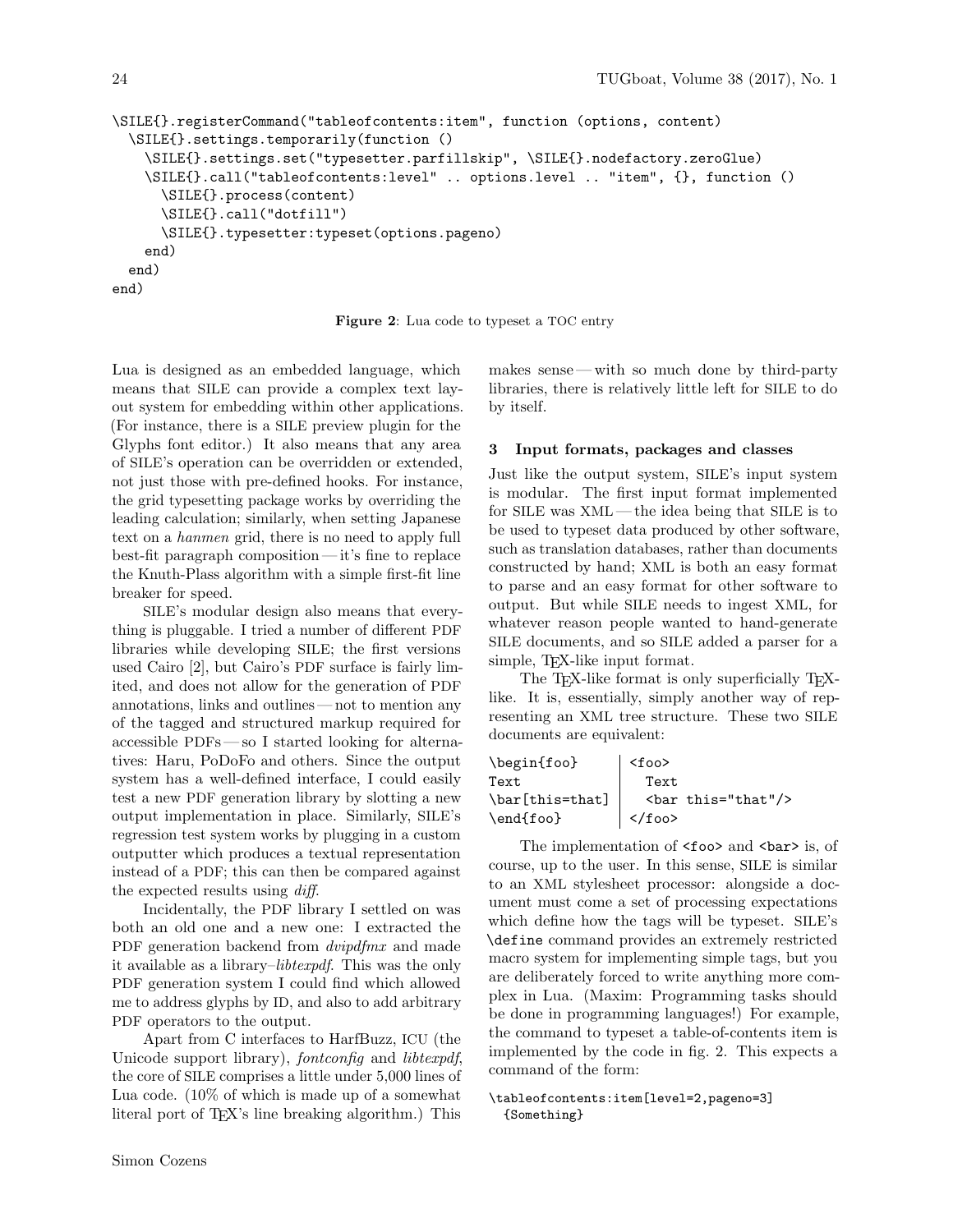```
\SILE{}.registerCommand("tableofcontents:item", function (options, content)
 \SILE{}.settings.temporarily(function ()
    \SILE{}.settings.set("typesetter.parfillskip", \SILE{}.nodefactory.zeroGlue)
   \SILE{}.call("tableofcontents:level" .. options.level .. "item", {}, function ()
      \SILE{}.process(content)
      \SILE{}.call("dotfill")
      \SILE{}.typesetter:typeset(options.pageno)
   end)
 end)
end)
```
Figure 2: Lua code to typeset a TOC entry

Lua is designed as an embedded language, which means that SILE can provide a complex text layout system for embedding within other applications. (For instance, there is a SILE preview plugin for the Glyphs font editor.) It also means that any area of SILE's operation can be overridden or extended, not just those with pre-defined hooks. For instance, the grid typesetting package works by overriding the leading calculation; similarly, when setting Japanese text on a hanmen grid, there is no need to apply full best-fit paragraph composition — it's fine to replace the Knuth-Plass algorithm with a simple first-fit line breaker for speed.

SILE's modular design also means that everything is pluggable. I tried a number of different PDF libraries while developing SILE; the first versions used Cairo [2], but Cairo's PDF surface is fairly limited, and does not allow for the generation of PDF annotations, links and outlines — not to mention any of the tagged and structured markup required for accessible PDFs— so I started looking for alternatives: Haru, PoDoFo and others. Since the output system has a well-defined interface, I could easily test a new PDF generation library by slotting a new output implementation in place. Similarly, SILE's regression test system works by plugging in a custom outputter which produces a textual representation instead of a PDF; this can then be compared against the expected results using diff.

Incidentally, the PDF library I settled on was both an old one and a new one: I extracted the PDF generation backend from *dvipdfmx* and made it available as a library–libtexpdf. This was the only PDF generation system I could find which allowed me to address glyphs by ID, and also to add arbitrary PDF operators to the output.

Apart from C interfaces to HarfBuzz, ICU (the Unicode support library), fontconfig and libtexpdf, the core of SILE comprises a little under 5,000 lines of Lua code. (10% of which is made up of a somewhat literal port of TEX's line breaking algorithm.) This

makes sense— with so much done by third-party libraries, there is relatively little left for SILE to do by itself.

### 3 Input formats, packages and classes

Just like the output system, SILE's input system is modular. The first input format implemented for SILE was XML— the idea being that SILE is to be used to typeset data produced by other software, such as translation databases, rather than documents constructed by hand; XML is both an easy format to parse and an easy format for other software to output. But while SILE needs to ingest XML, for whatever reason people wanted to hand-generate SILE documents, and so SILE added a parser for a simple, T<sub>EX</sub>-like input format.

The T<sub>E</sub>X-like format is only superficially T<sub>E</sub>Xlike. It is, essentially, simply another way of representing an XML tree structure. These two SILE documents are equivalent:

| \begin{foo}                     | $<$ foo $>$                        |                   |
|---------------------------------|------------------------------------|-------------------|
| Text                            | Text                               |                   |
| $\bar{\text{this}=\text{that}}$ |                                    | <br>khis="that"/> |
| \end{foo}                       | $\vert \langle f_{\rm 00} \rangle$ |                   |

The implementation of <foo> and <br/> <br/>bar> is, of course, up to the user. In this sense, SILE is similar to an XML stylesheet processor: alongside a document must come a set of processing expectations which define how the tags will be typeset. SILE's \define command provides an extremely restricted macro system for implementing simple tags, but you are deliberately forced to write anything more complex in Lua. (Maxim: Programming tasks should be done in programming languages!) For example, the command to typeset a table-of-contents item is implemented by the code in fig. 2. This expects a command of the form:

### \tableofcontents:item[level=2,pageno=3] {Something}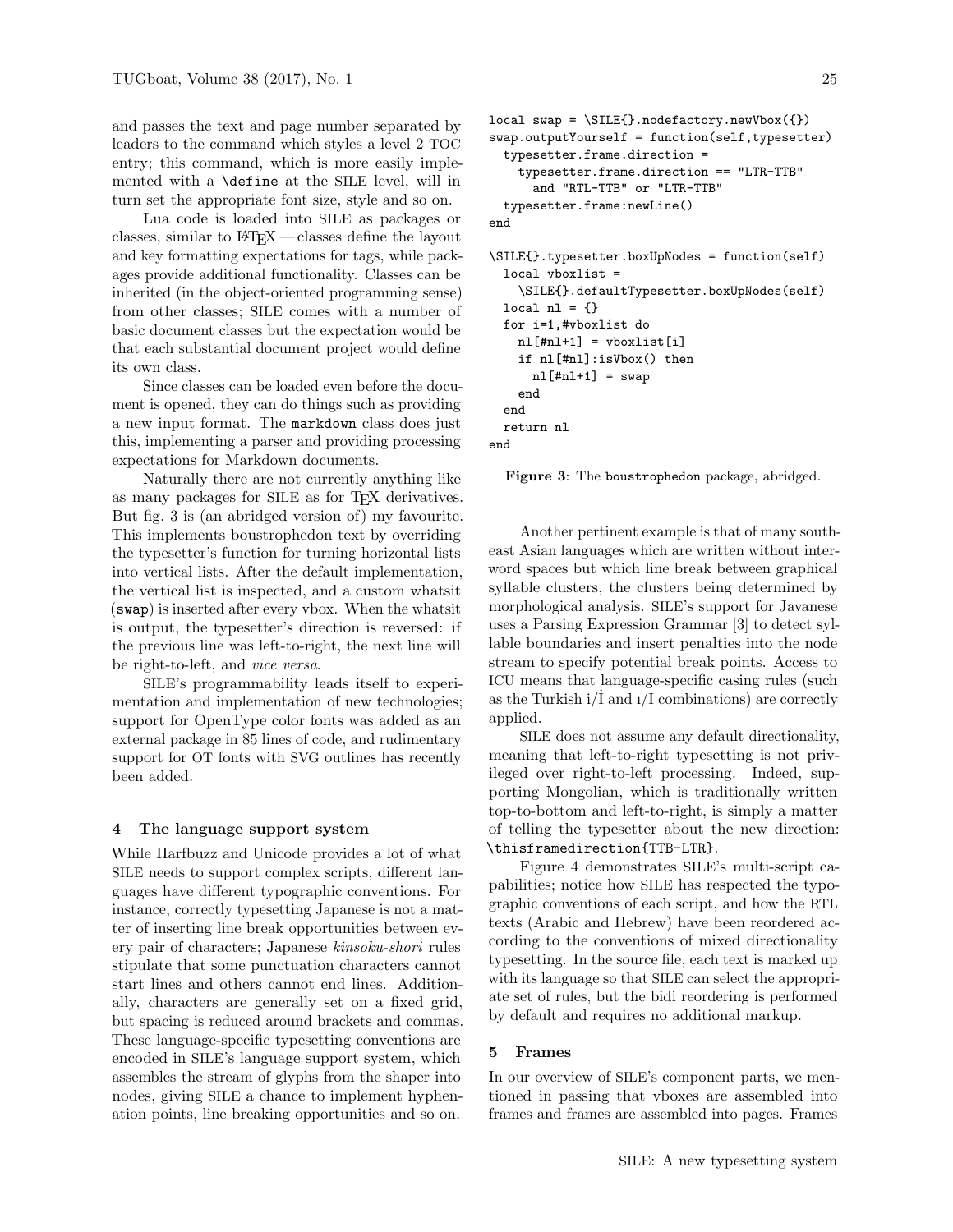and passes the text and page number separated by leaders to the command which styles a level 2 TOC entry; this command, which is more easily implemented with a \define at the SILE level, will in turn set the appropriate font size, style and so on.

Lua code is loaded into SILE as packages or classes, similar to  $\text{MTFX}$ — classes define the layout and key formatting expectations for tags, while packages provide additional functionality. Classes can be inherited (in the object-oriented programming sense) from other classes; SILE comes with a number of basic document classes but the expectation would be that each substantial document project would define its own class.

Since classes can be loaded even before the document is opened, they can do things such as providing a new input format. The markdown class does just this, implementing a parser and providing processing expectations for Markdown documents.

Naturally there are not currently anything like as many packages for SILE as for TFX derivatives. But fig. 3 is (an abridged version of) my favourite. This implements boustrophedon text by overriding the typesetter's function for turning horizontal lists into vertical lists. After the default implementation, the vertical list is inspected, and a custom whatsit (swap) is inserted after every vbox. When the whatsit is output, the typesetter's direction is reversed: if the previous line was left-to-right, the next line will be right-to-left, and vice versa.

SILE's programmability leads itself to experimentation and implementation of new technologies; support for OpenType color fonts was added as an external package in 85 lines of code, and rudimentary support for OT fonts with SVG outlines has recently been added.

### 4 The language support system

While Harfbuzz and Unicode provides a lot of what SILE needs to support complex scripts, different languages have different typographic conventions. For instance, correctly typesetting Japanese is not a matter of inserting line break opportunities between every pair of characters; Japanese kinsoku-shori rules stipulate that some punctuation characters cannot start lines and others cannot end lines. Additionally, characters are generally set on a fixed grid, but spacing is reduced around brackets and commas. These language-specific typesetting conventions are encoded in SILE's language support system, which assembles the stream of glyphs from the shaper into nodes, giving SILE a chance to implement hyphenation points, line breaking opportunities and so on.

```
local swap = \SILE{}.nodefactory.newVbox({})
swap.outputYourself = function(self,typesetter)
 typesetter.frame.direction =
    typesetter.frame.direction == "LTR-TTB"
      and "RTL-TTB" or "LTR-TTB"
 typesetter.frame:newLine()
end
\SILE{}.typesetter.boxUpNodes = function(self)
 local vboxlist =
   \SILE{}.defaultTypesetter.boxUpNodes(self)
 local nl = \{\}for i=1,#vboxlist do
   nl[4nl+1] = vboxlist[i]if nl[#nl]:isVbox() then
     nl[4nl+1] = swapend
  end
 return nl
end
```
Figure 3: The boustrophedon package, abridged.

Another pertinent example is that of many southeast Asian languages which are written without interword spaces but which line break between graphical syllable clusters, the clusters being determined by morphological analysis. SILE's support for Javanese uses a Parsing Expression Grammar [3] to detect syllable boundaries and insert penalties into the node stream to specify potential break points. Access to ICU means that language-specific casing rules (such as the Turkish  $i/I$  and  $i/I$  combinations) are correctly applied.

SILE does not assume any default directionality, meaning that left-to-right typesetting is not privileged over right-to-left processing. Indeed, supporting Mongolian, which is traditionally written top-to-bottom and left-to-right, is simply a matter of telling the typesetter about the new direction: \thisframedirection{TTB-LTR}.

Figure 4 demonstrates SILE's multi-script capabilities; notice how SILE has respected the typographic conventions of each script, and how the RTL texts (Arabic and Hebrew) have been reordered according to the conventions of mixed directionality typesetting. In the source file, each text is marked up with its language so that SILE can select the appropriate set of rules, but the bidi reordering is performed by default and requires no additional markup.

#### 5 Frames

In our overview of SILE's component parts, we mentioned in passing that vboxes are assembled into frames and frames are assembled into pages. Frames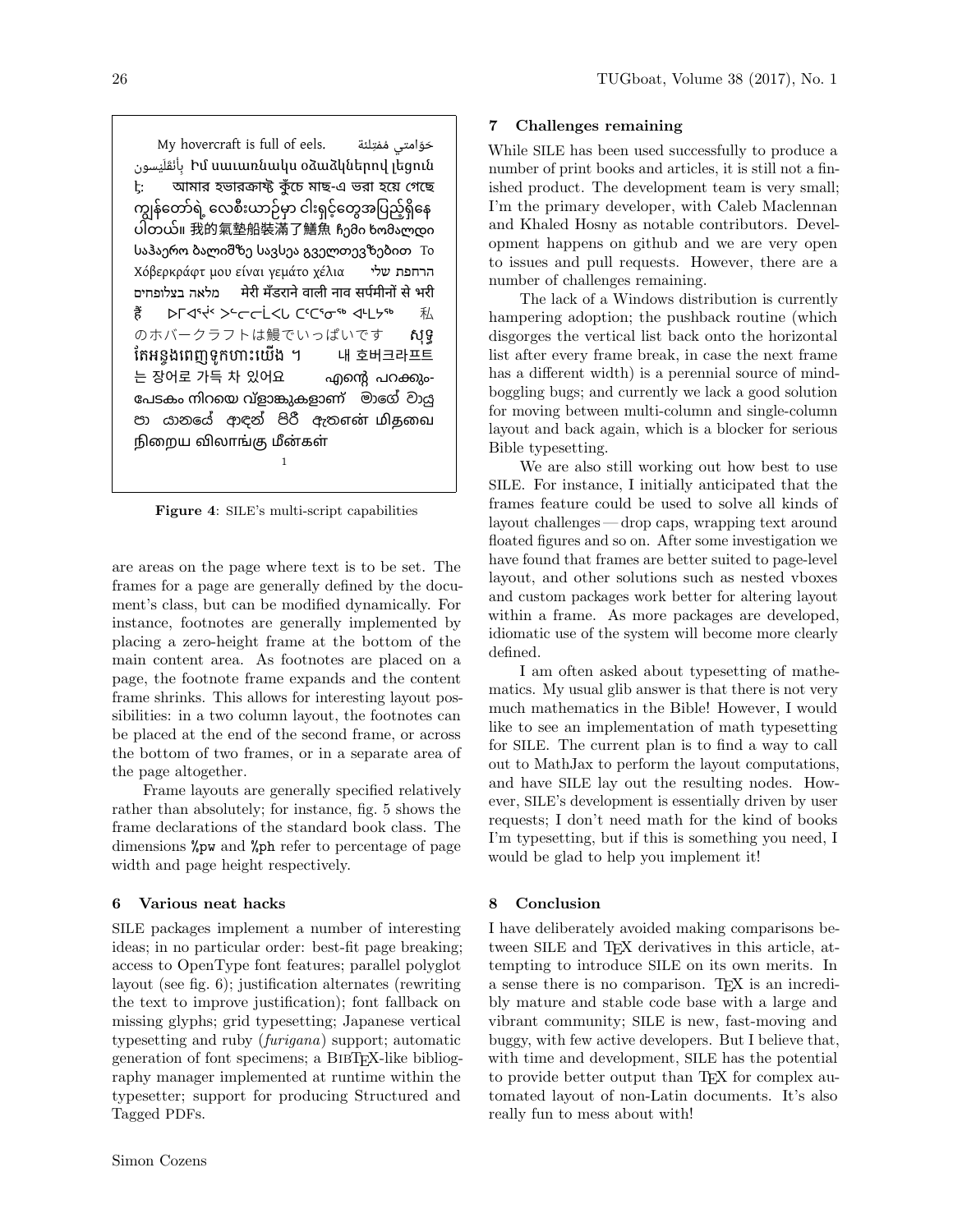My hovercraft is full of eels. حَوّامتى مُمْتِلئة بِأَنْقَلَيْسون Իմ սաւառնակս օձաձկներով լեցուն <u>է</u>: আমার হভারক্রাফ্ট কুঁচে মাছ-এ ভরা হয়ে গেছে ကျွန်တော်ရဲ့ လေစီးယာဉ်မှာ ငါးရှင့်တွေအပြည့်ရှိနေ  $\widetilde{\mathcal{O}}$ တယ်။ 我的氣墊船裝滿了鱔魚 ჩემი ხომალდი საჰაერო ბალიშზე სავსეა გველთევზებით Το Χόβερκράφτ μου είναι γεμάτο χέλια שלי הרחפת בצלופחים מלאה मेरी मँडराने वाली नाव सपµमीनǂ से भरी हैं ÞГଏSK >Scrikt CSCSna < HLK のホバークラフトは鰻でいっぱいです សុទ្ធ ែតឣន្ចងេពញទូកöបះេយើង ។ 내 호버크라프트  $-$  공어로 가득 차 있어요  $-$  എന്റെ പറക്കും-േപടകം നിറെയ വ്ളാുകളാണ് මාෙ වාƬ පා යානයේ ආඳන් පිරී ඇතஎன் மிதவை நிறைய விலாங்கு மீன்கள் 1

Figure 4: SILE's multi-script capabilities

are areas on the page where text is to be set. The frames for a page are generally defined by the document's class, but can be modified dynamically. For instance, footnotes are generally implemented by placing a zero-height frame at the bottom of the main content area. As footnotes are placed on a page, the footnote frame expands and the content frame shrinks. This allows for interesting layout possibilities: in a two column layout, the footnotes can be placed at the end of the second frame, or across the bottom of two frames, or in a separate area of the page altogether.

Frame layouts are generally specified relatively rather than absolutely; for instance, fig. 5 shows the frame declarations of the standard book class. The dimensions %pw and %ph refer to percentage of page width and page height respectively.

# 6 Various neat hacks

SILE packages implement a number of interesting ideas; in no particular order: best-fit page breaking; access to OpenType font features; parallel polyglot layout (see fig. 6); justification alternates (rewriting the text to improve justification); font fallback on missing glyphs; grid typesetting; Japanese vertical typesetting and ruby (furigana) support; automatic generation of font specimens; a BibTEX-like bibliography manager implemented at runtime within the typesetter; support for producing Structured and Tagged PDFs.

### 7 Challenges remaining

While SILE has been used successfully to produce a number of print books and articles, it is still not a finished product. The development team is very small; I'm the primary developer, with Caleb Maclennan and Khaled Hosny as notable contributors. Development happens on github and we are very open to issues and pull requests. However, there are a number of challenges remaining.

The lack of a Windows distribution is currently hampering adoption; the pushback routine (which disgorges the vertical list back onto the horizontal list after every frame break, in case the next frame has a different width) is a perennial source of mindboggling bugs; and currently we lack a good solution for moving between multi-column and single-column layout and back again, which is a blocker for serious Bible typesetting.

We are also still working out how best to use SILE. For instance, I initially anticipated that the frames feature could be used to solve all kinds of layout challenges — drop caps, wrapping text around floated figures and so on. After some investigation we have found that frames are better suited to page-level layout, and other solutions such as nested vboxes and custom packages work better for altering layout within a frame. As more packages are developed, idiomatic use of the system will become more clearly defined.

I am often asked about typesetting of mathematics. My usual glib answer is that there is not very much mathematics in the Bible! However, I would like to see an implementation of math typesetting for SILE. The current plan is to find a way to call out to MathJax to perform the layout computations, and have SILE lay out the resulting nodes. However, SILE's development is essentially driven by user requests; I don't need math for the kind of books I'm typesetting, but if this is something you need, I would be glad to help you implement it!

### 8 Conclusion

I have deliberately avoided making comparisons between SILE and T<sub>F</sub>X derivatives in this article, attempting to introduce SILE on its own merits. In a sense there is no comparison. T<sub>EX</sub> is an incredibly mature and stable code base with a large and vibrant community; SILE is new, fast-moving and buggy, with few active developers. But I believe that, with time and development, SILE has the potential to provide better output than TEX for complex automated layout of non-Latin documents. It's also really fun to mess about with!